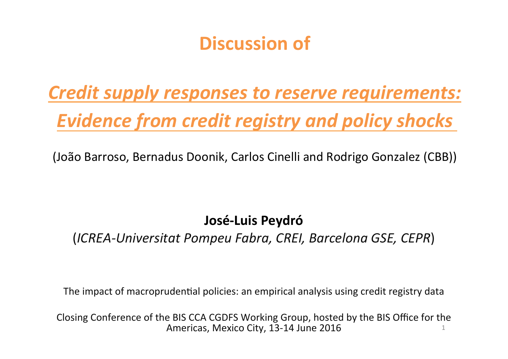## **Discussion of**

# *Credit supply responses to reserve requirements:* **Evidence from credit registry and policy shocks**

(João Barroso, Bernadus Doonik, Carlos Cinelli and Rodrigo Gonzalez (CBB))

#### **José-Luis Peydró**

(*ICREA-Universitat Pompeu Fabra, CREI, Barcelona GSE, CEPR*) 

The impact of macroprudential policies: an empirical analysis using credit registry data

Closing Conference of the BIS CCA CGDFS Working Group, hosted by the BIS Office for the Americas, Mexico City, 13-14 June  $2016$  1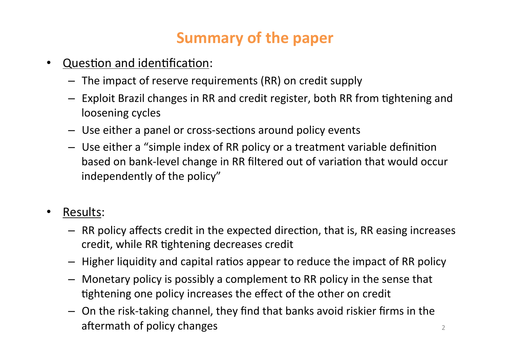## **Summary of the paper**

- Question and identification:
	- $-$  The impact of reserve requirements (RR) on credit supply
	- $-$  Exploit Brazil changes in RR and credit register, both RR from tightening and loosening cycles
	- $-$  Use either a panel or cross-sections around policy events
	- $-$  Use either a "simple index of RR policy or a treatment variable definition based on bank-level change in RR filtered out of variation that would occur independently of the policy"
- Results:
	- $-$  RR policy affects credit in the expected direction, that is, RR easing increases credit, while RR tightening decreases credit
	- $-$  Higher liquidity and capital ratios appear to reduce the impact of RR policy
	- $-$  Monetary policy is possibly a complement to RR policy in the sense that tightening one policy increases the effect of the other on credit
	- $-$  On the risk-taking channel, they find that banks avoid riskier firms in the a\_ermath of policy changes <sup>2</sup>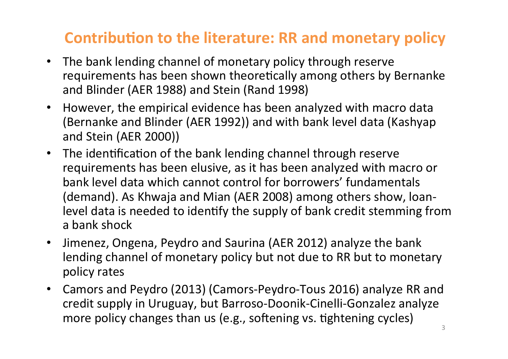## **Contribution to the literature: RR and monetary policy**

- The bank lending channel of monetary policy through reserve requirements has been shown theoretically among others by Bernanke and Blinder (AER 1988) and Stein (Rand 1998)
- However, the empirical evidence has been analyzed with macro data (Bernanke and Blinder (AER 1992)) and with bank level data (Kashyap and Stein (AER 2000))
- The identification of the bank lending channel through reserve requirements has been elusive, as it has been analyzed with macro or bank level data which cannot control for borrowers' fundamentals (demand). As Khwaja and Mian (AER 2008) among others show, loanlevel data is needed to identify the supply of bank credit stemming from a bank shock
- Jimenez, Ongena, Peydro and Saurina (AER 2012) analyze the bank lending channel of monetary policy but not due to RR but to monetary policy rates
- Camors and Peydro (2013) (Camors-Peydro-Tous 2016) analyze RR and credit supply in Uruguay, but Barroso-Doonik-Cinelli-Gonzalez analyze more policy changes than us (e.g., softening vs. tightening cycles)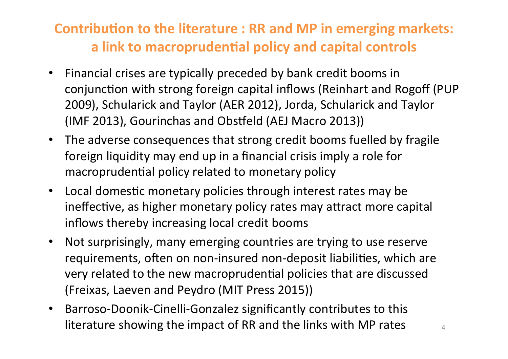#### **Contribution to the literature : RR and MP in emerging markets:** a link to macroprudential policy and capital controls

- Financial crises are typically preceded by bank credit booms in conjunction with strong foreign capital inflows (Reinhart and Rogoff (PUP 2009), Schularick and Taylor (AER 2012), Jorda, Schularick and Taylor (IMF 2013), Gourinchas and Obstfeld (AEJ Macro 2013))
- The adverse consequences that strong credit booms fuelled by fragile foreign liquidity may end up in a financial crisis imply a role for macroprudential policy related to monetary policy
- Local domestic monetary policies through interest rates may be ineffective, as higher monetary policy rates may attract more capital inflows thereby increasing local credit booms
- Not surprisingly, many emerging countries are trying to use reserve requirements, often on non-insured non-deposit liabilities, which are very related to the new macroprudential policies that are discussed (Freixas, Laeven and Peydro (MIT Press 2015))
- Barroso-Doonik-Cinelli-Gonzalez significantly contributes to this literature showing the impact of RR and the links with MP rates  $\frac{4}{4}$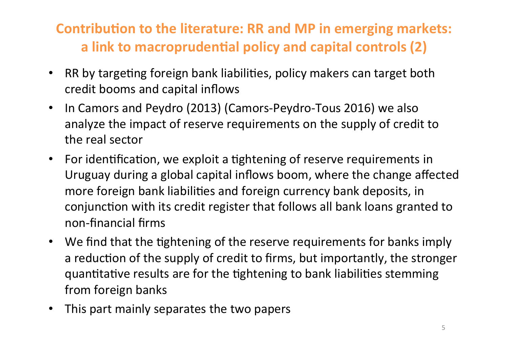#### **Contribution to the literature: RR and MP in emerging markets:** a link to macroprudential policy and capital controls (2)

- RR by targeting foreign bank liabilities, policy makers can target both credit booms and capital inflows
- In Camors and Peydro (2013) (Camors-Peydro-Tous 2016) we also analyze the impact of reserve requirements on the supply of credit to the real sector
- For identification, we exploit a tightening of reserve requirements in Uruguay during a global capital inflows boom, where the change affected more foreign bank liabilities and foreign currency bank deposits, in conjunction with its credit register that follows all bank loans granted to non-financial firms
- We find that the tightening of the reserve requirements for banks imply a reduction of the supply of credit to firms, but importantly, the stronger quantitative results are for the tightening to bank liabilities stemming from foreign banks
- This part mainly separates the two papers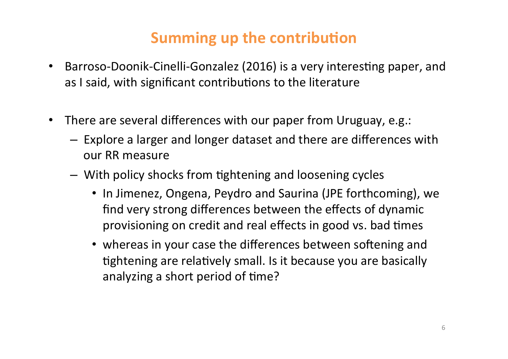## **Summing up the contribution**

- Barroso-Doonik-Cinelli-Gonzalez (2016) is a very interesting paper, and as I said, with significant contributions to the literature
- There are several differences with our paper from Uruguay, e.g.:
	- $-$  Explore a larger and longer dataset and there are differences with our RR measure
	- $-$  With policy shocks from tightening and loosening cycles
		- In Jimenez, Ongena, Peydro and Saurina (JPE forthcoming), we find very strong differences between the effects of dynamic provisioning on credit and real effects in good vs. bad times
		- whereas in your case the differences between softening and tightening are relatively small. Is it because you are basically analyzing a short period of time?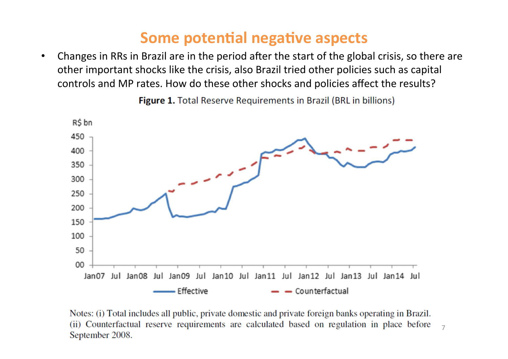#### **Some potential negative aspects**

• Changes in RRs in Brazil are in the period after the start of the global crisis, so there are other important shocks like the crisis, also Brazil tried other policies such as capital controls and MP rates. How do these other shocks and policies affect the results?



**Figure 1.** Total Reserve Requirements in Brazil (BRL in billions)

Notes: (i) Total includes all public, private domestic and private foreign banks operating in Brazil. (ii) Counterfactual reserve requirements are calculated based on regulation in place before 7 September 2008.